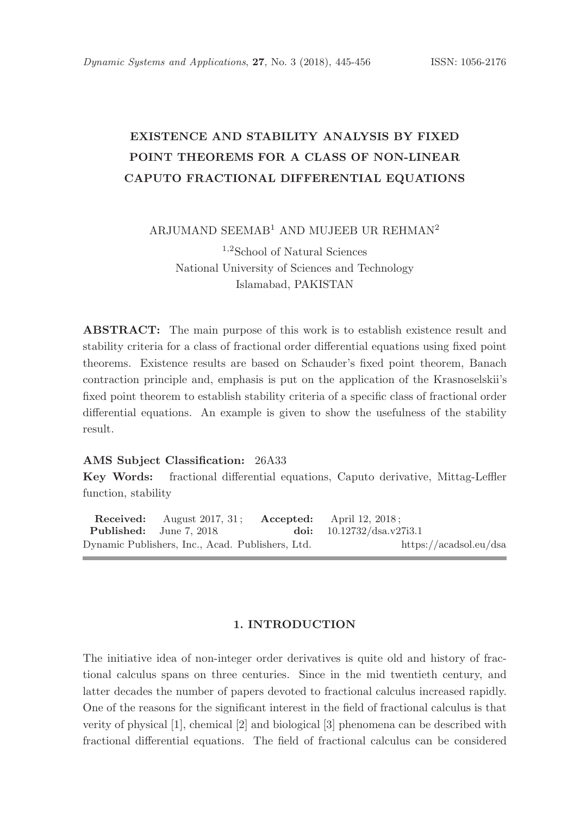# EXISTENCE AND STABILITY ANALYSIS BY FIXED POINT THEOREMS FOR A CLASS OF NON-LINEAR CAPUTO FRACTIONAL DIFFERENTIAL EQUATIONS

ARJUMAND SEEMAB<sup>1</sup> AND MUJEEB UR REHMAN<sup>2</sup>

<sup>1</sup>,<sup>2</sup>School of Natural Sciences National University of Sciences and Technology Islamabad, PAKISTAN

ABSTRACT: The main purpose of this work is to establish existence result and stability criteria for a class of fractional order differential equations using fixed point theorems. Existence results are based on Schauder's fixed point theorem, Banach contraction principle and, emphasis is put on the application of the Krasnoselskii's fixed point theorem to establish stability criteria of a specific class of fractional order differential equations. An example is given to show the usefulness of the stability result.

## AMS Subject Classification: 26A33

Key Words: fractional differential equations, Caputo derivative, Mittag-Leffler function, stability

Received: August 2017, 31; Accepted: April 12, 2018;<br>Published: June 7, 2018 doi:  $10.12732/\text{dsa.v2}$ doi: 10.12732/dsa.v27i3.1 Dynamic Publishers, Inc., Acad. Publishers, Ltd. https://acadsol.eu/dsa

#### 1. INTRODUCTION

The initiative idea of non-integer order derivatives is quite old and history of fractional calculus spans on three centuries. Since in the mid twentieth century, and latter decades the number of papers devoted to fractional calculus increased rapidly. One of the reasons for the significant interest in the field of fractional calculus is that verity of physical [1], chemical [2] and biological [3] phenomena can be described with fractional differential equations. The field of fractional calculus can be considered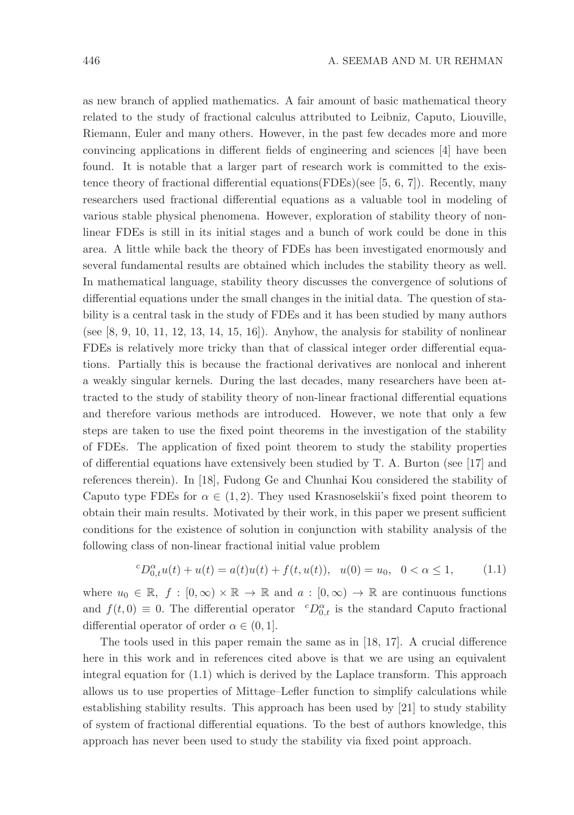as new branch of applied mathematics. A fair amount of basic mathematical theory related to the study of fractional calculus attributed to Leibniz, Caputo, Liouville, Riemann, Euler and many others. However, in the past few decades more and more convincing applications in different fields of engineering and sciences [4] have been found. It is notable that a larger part of research work is committed to the existence theory of fractional differential equations(FDEs)(see [5, 6, 7]). Recently, many researchers used fractional differential equations as a valuable tool in modeling of various stable physical phenomena. However, exploration of stability theory of nonlinear FDEs is still in its initial stages and a bunch of work could be done in this area. A little while back the theory of FDEs has been investigated enormously and several fundamental results are obtained which includes the stability theory as well. In mathematical language, stability theory discusses the convergence of solutions of differential equations under the small changes in the initial data. The question of stability is a central task in the study of FDEs and it has been studied by many authors (see  $[8, 9, 10, 11, 12, 13, 14, 15, 16]$ ). Anyhow, the analysis for stability of nonlinear FDEs is relatively more tricky than that of classical integer order differential equations. Partially this is because the fractional derivatives are nonlocal and inherent a weakly singular kernels. During the last decades, many researchers have been attracted to the study of stability theory of non-linear fractional differential equations and therefore various methods are introduced. However, we note that only a few steps are taken to use the fixed point theorems in the investigation of the stability of FDEs. The application of fixed point theorem to study the stability properties of differential equations have extensively been studied by T. A. Burton (see [17] and references therein). In [18], Fudong Ge and Chunhai Kou considered the stability of Caputo type FDEs for  $\alpha \in (1, 2)$ . They used Krasnoselskii's fixed point theorem to obtain their main results. Motivated by their work, in this paper we present sufficient conditions for the existence of solution in conjunction with stability analysis of the following class of non-linear fractional initial value problem

$$
{}^{c}D_{0,t}^{\alpha}u(t) + u(t) = a(t)u(t) + f(t, u(t)), \ \ u(0) = u_0, \ \ 0 < \alpha \le 1,\tag{1.1}
$$

where  $u_0 \in \mathbb{R}, f : [0, \infty) \times \mathbb{R} \to \mathbb{R}$  and  $a : [0, \infty) \to \mathbb{R}$  are continuous functions and  $f(t, 0) \equiv 0$ . The differential operator  ${}^cD_{0,t}^{\alpha}$  is the standard Caputo fractional differential operator of order  $\alpha \in (0,1]$ .

The tools used in this paper remain the same as in [18, 17]. A crucial difference here in this work and in references cited above is that we are using an equivalent integral equation for  $(1.1)$  which is derived by the Laplace transform. This approach allows us to use properties of Mittage–Lefler function to simplify calculations while establishing stability results. This approach has been used by [21] to study stability of system of fractional differential equations. To the best of authors knowledge, this approach has never been used to study the stability via fixed point approach.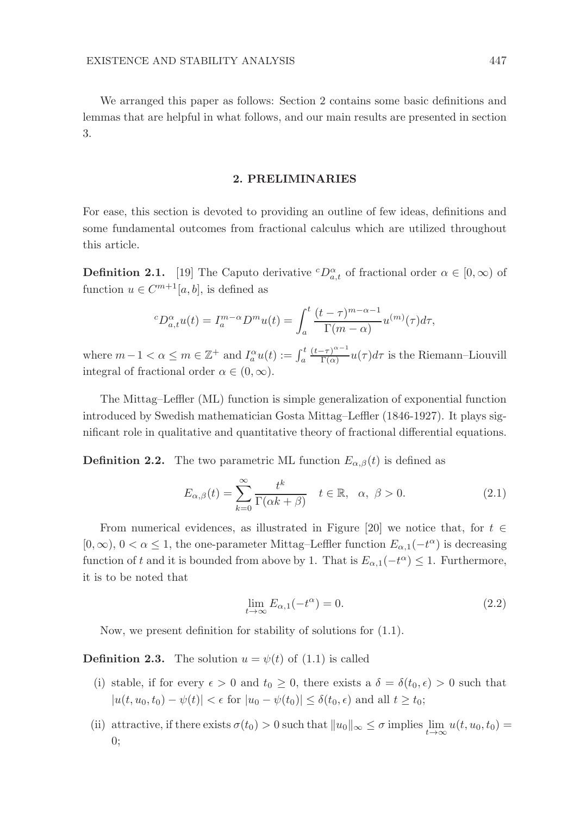We arranged this paper as follows: Section 2 contains some basic definitions and lemmas that are helpful in what follows, and our main results are presented in section 3.

#### 2. PRELIMINARIES

For ease, this section is devoted to providing an outline of few ideas, definitions and some fundamental outcomes from fractional calculus which are utilized throughout this article.

**Definition 2.1.** [19] The Caputo derivative  ${}^cD_{a,t}^{\alpha}$  of fractional order  $\alpha \in [0,\infty)$  of function  $u \in C^{m+1}[a, b]$ , is defined as

$$
{}^{c}D_{a,t}^{\alpha}u(t) = I_{a}^{m-\alpha}D^{m}u(t) = \int_{a}^{t} \frac{(t-\tau)^{m-\alpha-1}}{\Gamma(m-\alpha)} u^{(m)}(\tau)d\tau,
$$

where  $m-1 < \alpha \leq m \in \mathbb{Z}^+$  and  $I_a^{\alpha}u(t) := \int_a^t$  $(t-\tau)^{\alpha-1}$  $\frac{(-\tau)^{2}}{\Gamma(\alpha)}u(\tau)d\tau$  is the Riemann–Liouvill integral of fractional order  $\alpha \in (0, \infty)$ .

The Mittag–Leffler (ML) function is simple generalization of exponential function introduced by Swedish mathematician Gosta Mittag–Leffler (1846-1927). It plays significant role in qualitative and quantitative theory of fractional differential equations.

**Definition 2.2.** The two parametric ML function  $E_{\alpha,\beta}(t)$  is defined as

$$
E_{\alpha,\beta}(t) = \sum_{k=0}^{\infty} \frac{t^k}{\Gamma(\alpha k + \beta)} \quad t \in \mathbb{R}, \quad \alpha, \ \beta > 0.
$$
 (2.1)

From numerical evidences, as illustrated in Figure [20] we notice that, for  $t \in$  $[0, \infty)$ ,  $0 < \alpha \leq 1$ , the one-parameter Mittag–Leffler function  $E_{\alpha,1}(-t^{\alpha})$  is decreasing function of t and it is bounded from above by 1. That is  $E_{\alpha,1}(-t^{\alpha}) \leq 1$ . Furthermore, it is to be noted that

$$
\lim_{t \to \infty} E_{\alpha,1}(-t^{\alpha}) = 0. \tag{2.2}
$$

Now, we present definition for stability of solutions for (1.1).

**Definition 2.3.** The solution  $u = \psi(t)$  of (1.1) is called

- (i) stable, if for every  $\epsilon > 0$  and  $t_0 \geq 0$ , there exists a  $\delta = \delta(t_0, \epsilon) > 0$  such that  $|u(t, u_0, t_0) - \psi(t)| < \epsilon$  for  $|u_0 - \psi(t_0)| \leq \delta(t_0, \epsilon)$  and all  $t \geq t_0$ ;
- (ii) attractive, if there exists  $\sigma(t_0) > 0$  such that  $||u_0||_{\infty} \leq \sigma$  implies  $\lim_{t \to \infty} u(t, u_0, t_0) =$ 0;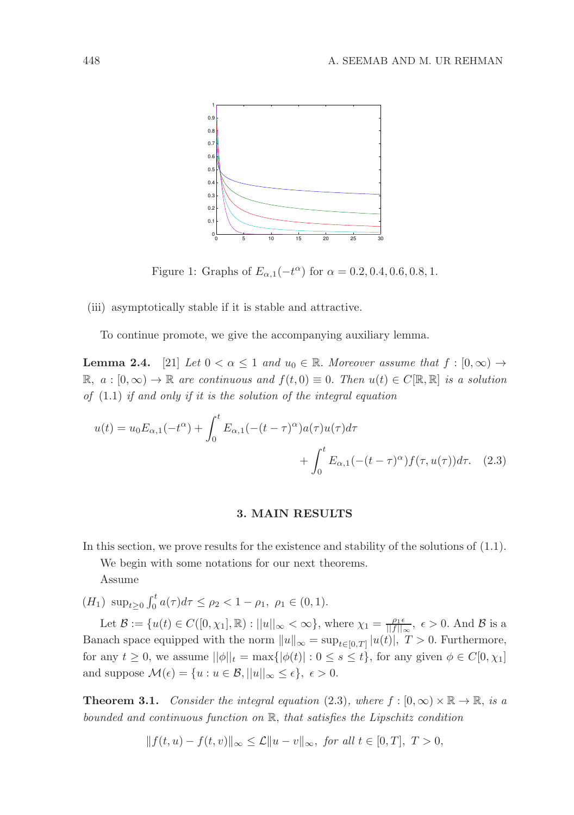

Figure 1: Graphs of  $E_{\alpha,1}(-t^{\alpha})$  for  $\alpha = 0.2, 0.4, 0.6, 0.8, 1$ .

(iii) asymptotically stable if it is stable and attractive.

To continue promote, we give the accompanying auxiliary lemma.

**Lemma 2.4.** [21] Let  $0 < \alpha \leq 1$  and  $u_0 \in \mathbb{R}$ . Moreover assume that  $f : [0, \infty) \rightarrow$  $\mathbb{R}, a : [0, \infty) \to \mathbb{R}$  are continuous and  $f(t, 0) \equiv 0$ . Then  $u(t) \in C[\mathbb{R}, \mathbb{R}]$  is a solution of  $(1.1)$  if and only if it is the solution of the integral equation

$$
u(t) = u_0 E_{\alpha,1}(-t^{\alpha}) + \int_0^t E_{\alpha,1}(-(t-\tau)^{\alpha})a(\tau)u(\tau)d\tau
$$
  
+ 
$$
\int_0^t E_{\alpha,1}(-(t-\tau)^{\alpha})f(\tau,u(\tau))d\tau.
$$
 (2.3)

#### 3. MAIN RESULTS

In this section, we prove results for the existence and stability of the solutions of (1.1).

We begin with some notations for our next theorems.

Assume

 $(H_1) \ \sup_{t \geq 0} \int_0^t a(\tau) d\tau \leq \rho_2 < 1 - \rho_1, \ \rho_1 \in (0, 1).$ 

Let  $\mathcal{B} := \{u(t) \in C([0,\chi_1],\mathbb{R}) : ||u||_{\infty} < \infty\}$ , where  $\chi_1 = \frac{\rho_1 \epsilon}{||f||_{\infty}}, \epsilon > 0$ . And  $\mathcal{B}$  is a Banach space equipped with the norm  $||u||_{\infty} = \sup_{t \in [0,T]} |u(t)|$ ,  $T > 0$ . Furthermore, for any  $t \geq 0$ , we assume  $||\phi||_t = \max{|\phi(t)| : 0 \leq s \leq t}$ , for any given  $\phi \in C[0, \chi_1]$ and suppose  $\mathcal{M}(\epsilon) = \{u : u \in \mathcal{B}, ||u||_{\infty} \leq \epsilon\}, \epsilon > 0.$ 

**Theorem 3.1.** Consider the integral equation (2.3), where  $f : [0, \infty) \times \mathbb{R} \to \mathbb{R}$ , is a bounded and continuous function on R, that satisfies the Lipschitz condition

 $|| f(t, u) - f(t, v)||_{∞} \leq \mathcal{L} || u - v ||_{∞},$  for all  $t \in [0, T],$   $T > 0,$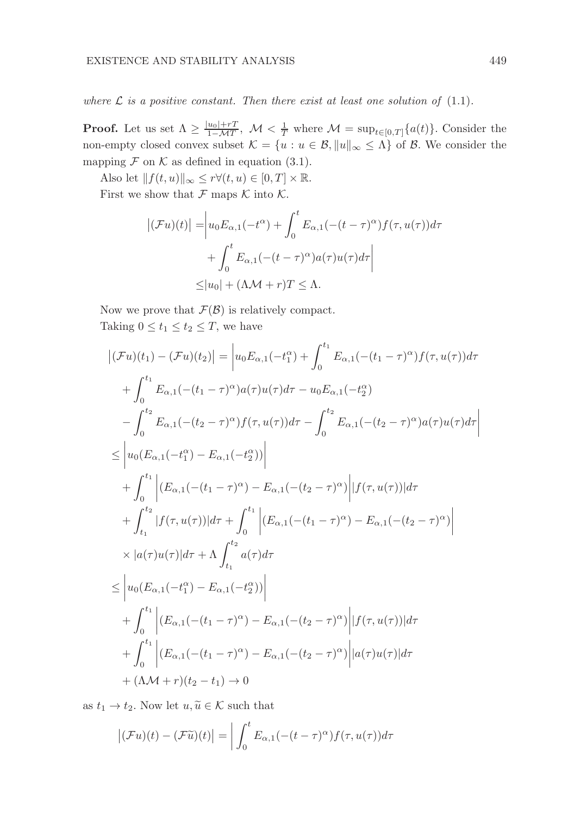where  $\mathcal L$  is a positive constant. Then there exist at least one solution of (1.1).

**Proof.** Let us set  $\Lambda \geq \frac{|u_0| + rT}{1 - MT}$  $\frac{u_0|+rT}{1-MT}$ ,  $\mathcal{M} < \frac{1}{T}$  where  $\mathcal{M} = \sup_{t \in [0,T]} \{a(t)\}$ . Consider the non-empty closed convex subset  $\mathcal{K} = \{u : u \in \mathcal{B}, ||u||_{\infty} \leq \Lambda\}$  of  $\mathcal{B}$ . We consider the mapping  $\mathcal F$  on  $\mathcal K$  as defined in equation (3.1).

Also let  $|| f(t, u) ||_{\infty} \leq r \forall (t, u) \in [0, T] \times \mathbb{R}$ .

First we show that  $\mathcal F$  maps  $\mathcal K$  into  $\mathcal K$ .

$$
\begin{aligned} \left| (\mathcal{F}u)(t) \right| &= \left| u_0 E_{\alpha,1}(-t^{\alpha}) + \int_0^t E_{\alpha,1}(-(t-\tau)^{\alpha})f(\tau,u(\tau))d\tau \right| \\ &+ \int_0^t E_{\alpha,1}(-(t-\tau)^{\alpha})a(\tau)u(\tau)d\tau \right| \\ &\leq |u_0| + (\Lambda \mathcal{M} + r)T \leq \Lambda. \end{aligned}
$$

Now we prove that  $\mathcal{F}(\mathcal{B})$  is relatively compact. Taking  $0 \le t_1 \le t_2 \le T$ , we have

$$
\begin{split}\n|\left(\mathcal{F}u\right)(t_{1}) - \left(\mathcal{F}u\right)(t_{2})| &= \left| u_{0}E_{\alpha,1}(-t_{1}^{\alpha}) + \int_{0}^{t_{1}} E_{\alpha,1}(-(t_{1}-\tau)^{\alpha})f(\tau,u(\tau))d\tau \right. \\
&\quad + \int_{0}^{t_{1}} E_{\alpha,1}(-(t_{1}-\tau)^{\alpha})a(\tau)u(\tau)d\tau - u_{0}E_{\alpha,1}(-t_{2}^{\alpha}) \\
&\quad - \int_{0}^{t_{2}} E_{\alpha,1}(-(t_{2}-\tau)^{\alpha})f(\tau,u(\tau))d\tau - \int_{0}^{t_{2}} E_{\alpha,1}(-(t_{2}-\tau)^{\alpha})a(\tau)u(\tau)d\tau \right| \\
&\leq \left| u_{0}(E_{\alpha,1}(-t_{1}^{\alpha}) - E_{\alpha,1}(-t_{2}^{\alpha})) \right| \\
&\quad + \int_{0}^{t_{1}} \left| \left(E_{\alpha,1}(-(t_{1}-\tau)^{\alpha}) - E_{\alpha,1}(-(t_{2}-\tau)^{\alpha})\right| |f(\tau,u(\tau))|d\tau \right. \\
&\quad + \int_{t_{1}}^{t_{2}} |f(\tau,u(\tau))|d\tau + \int_{0}^{t_{1}} \left| \left(E_{\alpha,1}(-(t_{1}-\tau)^{\alpha}) - E_{\alpha,1}(-(t_{2}-\tau)^{\alpha})\right| \right. \\
&\quad \times |a(\tau)u(\tau)|d\tau + \Lambda \int_{t_{1}}^{t_{2}} a(\tau)d\tau \\
&\leq \left| u_{0}(E_{\alpha,1}(-t_{1}^{\alpha}) - E_{\alpha,1}(-t_{2}^{\alpha})) \right| \\
&\quad + \int_{0}^{t_{1}} \left| \left(E_{\alpha,1}(-(t_{1}-\tau)^{\alpha}) - E_{\alpha,1}(-(t_{2}-\tau)^{\alpha})\right| |f(\tau,u(\tau))|d\tau \right. \\
&\quad + \int_{0}^{t_{1}} \left| \left(E_{\alpha,1}(-(t_{1}-\tau)^{\alpha}) - E_{\alpha,1}(-(t_{2}-\tau)^{\alpha})\right| |a(\tau)u(\tau)|d\tau \right. \\
&\quad + (\Lambda \mathcal{M} + r)(t_{2} - t_{1}) \to 0\n\end{split}
$$

as  $t_1 \to t_2$ . Now let  $u, \tilde{u} \in \mathcal{K}$  such that

$$
\left| \left( \mathcal{F} u \right)(t) - \left( \mathcal{F} \widetilde{u} \right)(t) \right| = \left| \int_0^t E_{\alpha,1} \left( - (t - \tau)^{\alpha} \right) f(\tau, u(\tau)) d\tau \right|
$$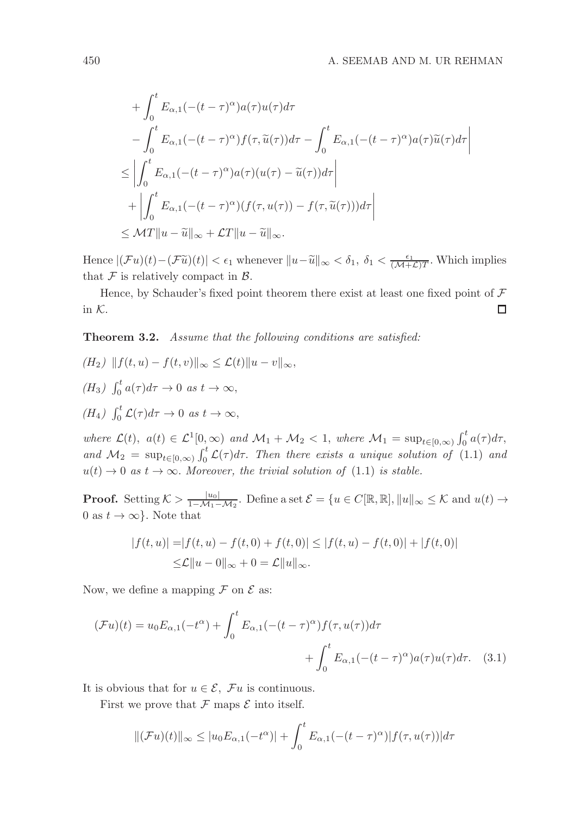$$
+ \int_0^t E_{\alpha,1}(-(t-\tau)^\alpha) a(\tau) u(\tau) d\tau
$$
  
\n
$$
- \int_0^t E_{\alpha,1}(-(t-\tau)^\alpha) f(\tau, \tilde{u}(\tau)) d\tau - \int_0^t E_{\alpha,1}(-(t-\tau)^\alpha) a(\tau) \tilde{u}(\tau) d\tau
$$
  
\n
$$
\leq \left| \int_0^t E_{\alpha,1}(-(t-\tau)^\alpha) a(\tau) (u(\tau) - \tilde{u}(\tau)) d\tau \right|
$$
  
\n
$$
+ \left| \int_0^t E_{\alpha,1}(-(t-\tau)^\alpha) (f(\tau, u(\tau)) - f(\tau, \tilde{u}(\tau))) d\tau \right|
$$
  
\n
$$
\leq \mathcal{M}T \|u - \tilde{u}\|_{\infty} + \mathcal{L}T \|u - \tilde{u}\|_{\infty}.
$$

Hence  $|(\mathcal{F}u)(t) - (\mathcal{F}\tilde{u})(t)| < \epsilon_1$  whenever  $||u - \tilde{u}||_{\infty} < \delta_1$ ,  $\delta_1 < \frac{\epsilon_1}{(\mathcal{M} + \mathcal{L})T}$ . Which implies that  $\mathcal F$  is relatively compact in  $\mathcal B$ .

Hence, by Schauder's fixed point theorem there exist at least one fixed point of  $\mathcal F$ in K.  $\Box$ 

Theorem 3.2. Assume that the following conditions are satisfied:

$$
(H_2) \|f(t, u) - f(t, v)\|_{\infty} \le \mathcal{L}(t) \|u - v\|_{\infty},
$$
  
\n
$$
(H_3) \int_0^t a(\tau) d\tau \to 0 \text{ as } t \to \infty,
$$
  
\n
$$
(H_4) \int_0^t \mathcal{L}(\tau) d\tau \to 0 \text{ as } t \to \infty,
$$

where  $\mathcal{L}(t)$ ,  $a(t) \in \mathcal{L}^1[0,\infty)$  and  $\mathcal{M}_1 + \mathcal{M}_2 < 1$ , where  $\mathcal{M}_1 = \sup_{t \in [0,\infty)} \int_0^t a(\tau) d\tau$ , and  $\mathcal{M}_2 = \sup_{t \in [0,\infty)} \int_0^t \mathcal{L}(\tau) d\tau$ . Then there exists a unique solution of (1.1) and  $u(t) \to 0$  as  $t \to \infty$ . Moreover, the trivial solution of (1.1) is stable.

**Proof.** Setting  $K > \frac{|u_0|}{1 - M_1 - M_2}$  $\frac{|u_0|}{1-\mathcal{M}_1-\mathcal{M}_2}$ . Define a set  $\mathcal{E} = \{u \in C[\mathbb{R}, \mathbb{R}], ||u||_{\infty} \leq \mathcal{K}$  and  $u(t) \to$ 0 as  $t \to \infty$ . Note that

$$
|f(t, u)| = |f(t, u) - f(t, 0) + f(t, 0)| \le |f(t, u) - f(t, 0)| + |f(t, 0)|
$$
  

$$
\le \mathcal{L}||u - 0||_{\infty} + 0 = \mathcal{L}||u||_{\infty}.
$$

Now, we define a mapping  $\mathcal F$  on  $\mathcal E$  as:

$$
(\mathcal{F}u)(t) = u_0 E_{\alpha,1}(-t^{\alpha}) + \int_0^t E_{\alpha,1}(-(t-\tau)^{\alpha})f(\tau, u(\tau))d\tau
$$

$$
+ \int_0^t E_{\alpha,1}(-(t-\tau)^{\alpha})a(\tau)u(\tau)d\tau. \quad (3.1)
$$

It is obvious that for  $u \in \mathcal{E}$ ,  $\mathcal{F}u$  is continuous.

First we prove that  $\mathcal F$  maps  $\mathcal E$  into itself.

$$
\|(\mathcal{F}u)(t)\|_{\infty} \leq |u_0 E_{\alpha,1}(-t^{\alpha})| + \int_0^t E_{\alpha,1}(-(t-\tau)^{\alpha})|f(\tau,u(\tau))|d\tau
$$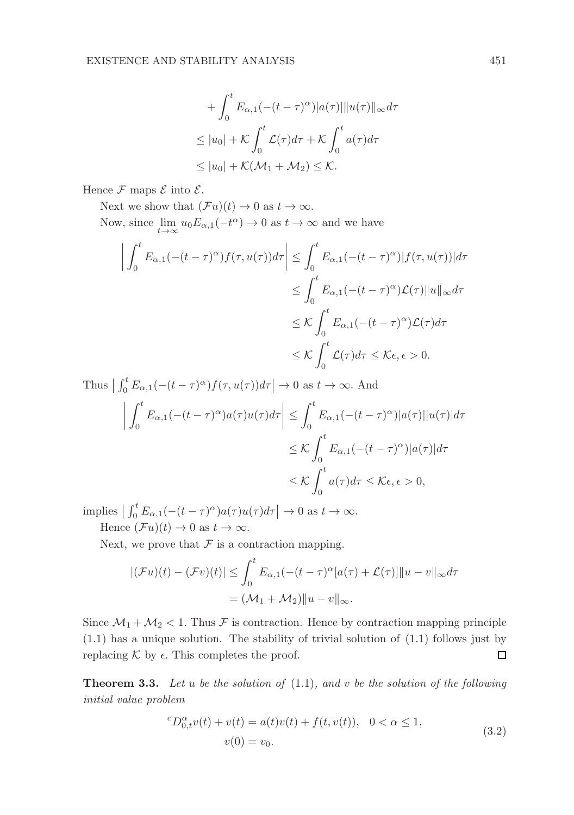$$
+ \int_0^t E_{\alpha,1}(-(t-\tau)^\alpha)|a(\tau)||u(\tau)||_\infty d\tau
$$
  
\n
$$
\leq |u_0| + \mathcal{K} \int_0^t \mathcal{L}(\tau) d\tau + \mathcal{K} \int_0^t a(\tau) d\tau
$$
  
\n
$$
\leq |u_0| + \mathcal{K}(\mathcal{M}_1 + \mathcal{M}_2) \leq \mathcal{K}.
$$

Hence  $\mathcal F$  maps  $\mathcal E$  into  $\mathcal E$ .

Next we show that  $(\mathcal{F}u)(t) \to 0$  as  $t \to \infty$ .

Now, since  $\lim_{t\to\infty} u_0 E_{\alpha,1}(-t^{\alpha}) \to 0$  as  $t\to\infty$  and we have

$$
\left| \int_0^t E_{\alpha,1}(-(t-\tau)^\alpha) f(\tau, u(\tau)) d\tau \right| \leq \int_0^t E_{\alpha,1}(-(t-\tau)^\alpha) |f(\tau, u(\tau))| d\tau
$$
  

$$
\leq \int_0^t E_{\alpha,1}(-(t-\tau)^\alpha) \mathcal{L}(\tau) \|u\|_\infty d\tau
$$
  

$$
\leq \mathcal{K} \int_0^t E_{\alpha,1}(-(t-\tau)^\alpha) \mathcal{L}(\tau) d\tau
$$
  

$$
\leq \mathcal{K} \int_0^t \mathcal{L}(\tau) d\tau \leq \mathcal{K}\epsilon, \epsilon > 0.
$$

Thus  $\left| \int_0^t E_{\alpha,1}(-(t-\tau)^{\alpha})f(\tau,u(\tau))d\tau \right| \to 0$  as  $t \to \infty$ . And  $\begin{array}{|c|c|} \hline \multicolumn{1}{|c|}{3} & \multicolumn{1}{|c|}{4} \multicolumn{1}{|c|}{5} \multicolumn{1}{|c|}{6} \multicolumn{1}{|c|}{6} \multicolumn{1}{|c|}{6} \multicolumn{1}{|c|}{6} \multicolumn{1}{|c|}{6} \multicolumn{1}{|c|}{6} \multicolumn{1}{|c|}{6} \multicolumn{1}{|c|}{6} \multicolumn{1}{|c|}{6} \multicolumn{1}{|c|}{6} \multicolumn{1}{|c|}{6} \multicolumn{1}{|c|}{6} \multicolumn{1}{|c|$  $\int_0^t$  $\int_{0}^{t} E_{\alpha,1}(-(t-\tau)^{\alpha})a(\tau)u(\tau)d\tau$  $\begin{array}{|c|c|} \hline \multicolumn{1}{|c|}{3} & \multicolumn{1}{|c|}{4} \multicolumn{1}{|c|}{5} \multicolumn{1}{|c|}{6} \multicolumn{1}{|c|}{6} \multicolumn{1}{|c|}{6} \multicolumn{1}{|c|}{6} \multicolumn{1}{|c|}{6} \multicolumn{1}{|c|}{6} \multicolumn{1}{|c|}{6} \multicolumn{1}{|c|}{6} \multicolumn{1}{|c|}{6} \multicolumn{1}{|c|}{6} \multicolumn{1}{|c|}{6} \multicolumn{1}{|c|}{6} \multicolumn{1}{|c|$ ≤  $\int_0^t$  $\int\limits_{0}^{t} E_{\alpha,1}(-(t-\tau)^{\alpha})|a(\tau)||u(\tau)|d\tau$  $\leq$  K  $\int_0^t$  $\int_{0}^{t} E_{\alpha,1}(-(t-\tau)^{\alpha})|a(\tau)|d\tau$  $\leq$  K  $\int_0^t$ 0  $a(\tau)d\tau \leq \mathcal{K}\epsilon, \epsilon > 0,$ 

implies  $\left| \int_0^t E_{\alpha,1}(-(t-\tau)^\alpha) a(\tau) u(\tau) d\tau \right| \to 0$  as  $t \to \infty$ . Hence  $(\mathcal{F}u)(t) \to 0$  as  $t \to \infty$ .

Next, we prove that  $\mathcal F$  is a contraction mapping.

$$
|(\mathcal{F}u)(t) - (\mathcal{F}v)(t)| \le \int_0^t E_{\alpha,1}(-(t-\tau)^{\alpha}[a(\tau) + \mathcal{L}(\tau)]]|u - v||_{\infty}d\tau
$$
  
=  $(\mathcal{M}_1 + \mathcal{M}_2)||u - v||_{\infty}.$ 

Since  $\mathcal{M}_1 + \mathcal{M}_2 < 1$ . Thus F is contraction. Hence by contraction mapping principle (1.1) has a unique solution. The stability of trivial solution of (1.1) follows just by  $\Box$ replacing  $\mathcal K$  by  $\epsilon$ . This completes the proof.

**Theorem 3.3.** Let u be the solution of  $(1.1)$ , and v be the solution of the following initial value problem

$$
{}^{c}D_{0,t}^{\alpha}v(t) + v(t) = a(t)v(t) + f(t, v(t)), \quad 0 < \alpha \le 1,
$$
\n
$$
v(0) = v_0.
$$
\n(3.2)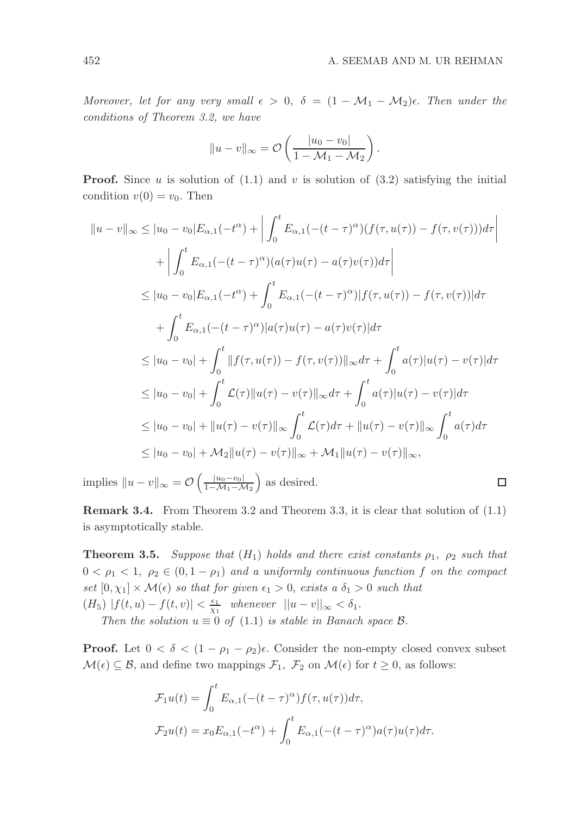$\Box$ 

Moreover, let for any very small  $\epsilon > 0$ ,  $\delta = (1 - \mathcal{M}_1 - \mathcal{M}_2)\epsilon$ . Then under the conditions of Theorem 3.2, we have

$$
||u - v||_{\infty} = \mathcal{O}\left(\frac{|u_0 - v_0|}{1 - \mathcal{M}_1 - \mathcal{M}_2}\right).
$$

**Proof.** Since u is solution of  $(1.1)$  and v is solution of  $(3.2)$  satisfying the initial condition  $v(0) = v_0$ . Then

$$
||u - v||_{\infty} \le |u_0 - v_0|E_{\alpha,1}(-t^{\alpha}) + \left| \int_0^t E_{\alpha,1}(-(t - \tau)^{\alpha})(f(\tau, u(\tau)) - f(\tau, v(\tau)))d\tau \right|
$$
  
+ 
$$
\left| \int_0^t E_{\alpha,1}(-(t - \tau)^{\alpha})(a(\tau)u(\tau) - a(\tau)v(\tau))d\tau \right|
$$
  

$$
\le |u_0 - v_0|E_{\alpha,1}(-t^{\alpha}) + \int_0^t E_{\alpha,1}(-(t - \tau)^{\alpha})|f(\tau, u(\tau)) - f(\tau, v(\tau))|d\tau
$$
  
+ 
$$
\int_0^t E_{\alpha,1}(-(t - \tau)^{\alpha})|a(\tau)u(\tau) - a(\tau)v(\tau)|d\tau
$$
  

$$
\le |u_0 - v_0| + \int_0^t ||f(\tau, u(\tau)) - f(\tau, v(\tau))||_{\infty}d\tau + \int_0^t a(\tau)|u(\tau) - v(\tau)|d\tau
$$
  

$$
\le |u_0 - v_0| + \int_0^t \mathcal{L}(\tau) ||u(\tau) - v(\tau)||_{\infty}d\tau + \int_0^t a(\tau)|u(\tau) - v(\tau)|d\tau
$$
  

$$
\le |u_0 - v_0| + ||u(\tau) - v(\tau)||_{\infty} \int_0^t \mathcal{L}(\tau)d\tau + ||u(\tau) - v(\tau)||_{\infty} \int_0^t a(\tau)d\tau
$$
  

$$
\le |u_0 - v_0| + \mathcal{M}_2||u(\tau) - v(\tau)||_{\infty} + \mathcal{M}_1||u(\tau) - v(\tau)||_{\infty},
$$

implies  $||u - v||_{\infty} = \mathcal{O}\left(\frac{|u_0 - v_0|}{1 - \mathcal{M}_1 - \mathcal{M}_2}\right)$  $1-\mathcal{M}_1-\mathcal{M}_2$ as desired.

Remark 3.4. From Theorem 3.2 and Theorem 3.3, it is clear that solution of (1.1) is asymptotically stable.

**Theorem 3.5.** Suppose that  $(H_1)$  holds and there exist constants  $\rho_1$ ,  $\rho_2$  such that  $0 < \rho_1 < 1$ ,  $\rho_2 \in (0, 1 - \rho_1)$  and a uniformly continuous function f on the compact set  $[0, \chi_1] \times \mathcal{M}(\epsilon)$  so that for given  $\epsilon_1 > 0$ , exists a  $\delta_1 > 0$  such that  $(H_5)$   $|f(t, u) - f(t, v)| < \frac{\epsilon_1}{\chi_1}$  whenever  $||u - v||_{\infty} < \delta_1$ .

Then the solution  $u \equiv 0$  of (1.1) is stable in Banach space  $\beta$ .

**Proof.** Let  $0 < \delta < (1 - \rho_1 - \rho_2)\epsilon$ . Consider the non-empty closed convex subset  $\mathcal{M}(\epsilon) \subseteq \mathcal{B}$ , and define two mappings  $\mathcal{F}_1$ ,  $\mathcal{F}_2$  on  $\mathcal{M}(\epsilon)$  for  $t \geq 0$ , as follows:

$$
\mathcal{F}_1 u(t) = \int_0^t E_{\alpha,1}(-(t-\tau)^{\alpha}) f(\tau, u(\tau)) d\tau,
$$
  

$$
\mathcal{F}_2 u(t) = x_0 E_{\alpha,1}(-t^{\alpha}) + \int_0^t E_{\alpha,1}(-(t-\tau)^{\alpha}) a(\tau) u(\tau) d\tau.
$$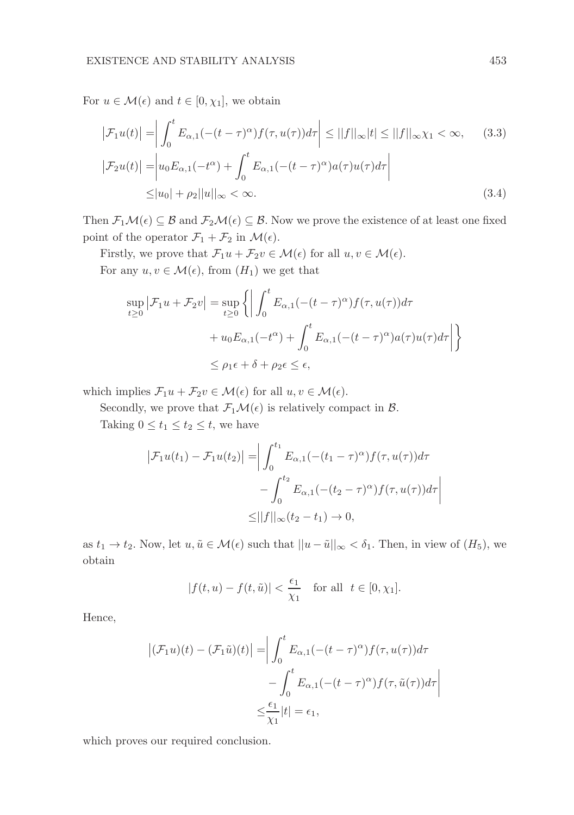For  $u \in \mathcal{M}(\epsilon)$  and  $t \in [0, \chi_1]$ , we obtain

$$
\left|\mathcal{F}_1 u(t)\right| = \left|\int_0^t E_{\alpha,1}(-(t-\tau)^\alpha)f(\tau, u(\tau))d\tau\right| \le ||f||_\infty |t| \le ||f||_\infty \chi_1 < \infty,
$$
 (3.3)  

$$
\left|\mathcal{F}_2 u(t)\right| = \left|u_0 E_{\alpha,1}(-t^\alpha) + \int_0^t E_{\alpha,1}(-(t-\tau)^\alpha)a(\tau)u(\tau)d\tau\right|
$$
  

$$
\le |u_0| + \rho_2||u||_\infty < \infty.
$$
 (3.4)

Then  $\mathcal{F}_1\mathcal{M}(\epsilon) \subseteq \mathcal{B}$  and  $\mathcal{F}_2\mathcal{M}(\epsilon) \subseteq \mathcal{B}$ . Now we prove the existence of at least one fixed point of the operator  $\mathcal{F}_1 + \mathcal{F}_2$  in  $\mathcal{M}(\epsilon)$ .

Firstly, we prove that  $\mathcal{F}_1u + \mathcal{F}_2v \in \mathcal{M}(\epsilon)$  for all  $u, v \in \mathcal{M}(\epsilon)$ .

For any  $u, v \in \mathcal{M}(\epsilon)$ , from  $(H_1)$  we get that

$$
\sup_{t\geq 0} |\mathcal{F}_1 u + \mathcal{F}_2 v| = \sup_{t\geq 0} \left\{ \left| \int_0^t E_{\alpha,1}(-(t-\tau)^\alpha) f(\tau, u(\tau)) d\tau \right. \right.\left. + u_0 E_{\alpha,1}(-t^\alpha) + \int_0^t E_{\alpha,1}(-(t-\tau)^\alpha) a(\tau) u(\tau) d\tau \right| \right\}
$$
  

$$
\leq \rho_1 \epsilon + \delta + \rho_2 \epsilon \leq \epsilon,
$$

which implies  $\mathcal{F}_1u + \mathcal{F}_2v \in \mathcal{M}(\epsilon)$  for all  $u, v \in \mathcal{M}(\epsilon)$ .

Secondly, we prove that  $\mathcal{F}_1\mathcal{M}(\epsilon)$  is relatively compact in  $\mathcal{B}$ .

Taking  $0 \le t_1 \le t_2 \le t$ , we have

$$
\begin{aligned} \left| \mathcal{F}_1 u(t_1) - \mathcal{F}_1 u(t_2) \right| &= \left| \int_0^{t_1} E_{\alpha,1}(-(t_1 - \tau)^{\alpha}) f(\tau, u(\tau)) d\tau \right| \\ &- \int_0^{t_2} E_{\alpha,1}(-(t_2 - \tau)^{\alpha}) f(\tau, u(\tau)) d\tau \right| \\ &\leq ||f||_{\infty} (t_2 - t_1) \to 0, \end{aligned}
$$

as  $t_1 \to t_2$ . Now, let  $u, \tilde{u} \in \mathcal{M}(\epsilon)$  such that  $||u - \tilde{u}||_{\infty} < \delta_1$ . Then, in view of  $(H_5)$ , we obtain

$$
|f(t, u) - f(t, \tilde{u})| < \frac{\epsilon_1}{\chi_1} \quad \text{for all} \ \ t \in [0, \chi_1].
$$

Hence,

$$
\left| (\mathcal{F}_1 u)(t) - (\mathcal{F}_1 \tilde{u})(t) \right| = \left| \int_0^t E_{\alpha,1}(-(t - \tau)^{\alpha}) f(\tau, u(\tau)) d\tau \right|
$$
  

$$
- \int_0^t E_{\alpha,1}(-(t - \tau)^{\alpha}) f(\tau, \tilde{u}(\tau)) d\tau \right|
$$
  

$$
\leq \frac{\epsilon_1}{\chi_1} |t| = \epsilon_1,
$$

which proves our required conclusion.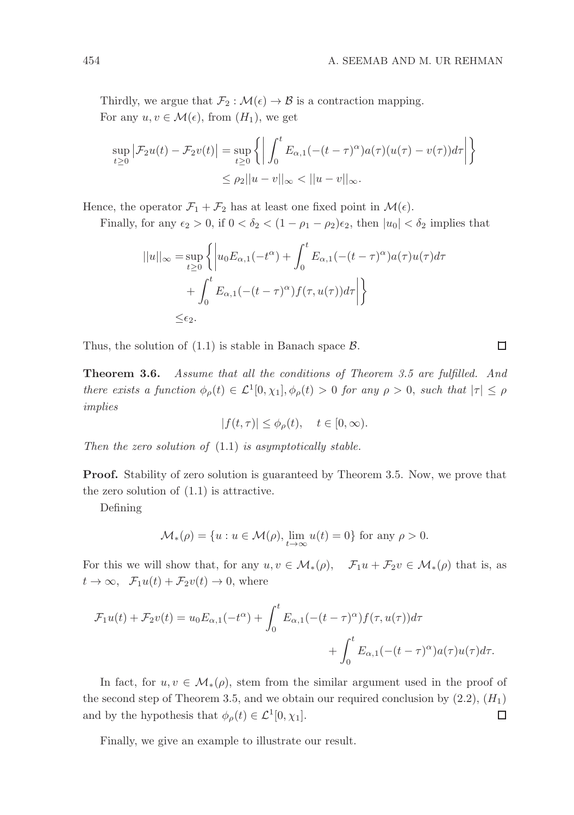Thirdly, we argue that  $\mathcal{F}_2 : \mathcal{M}(\epsilon) \to \mathcal{B}$  is a contraction mapping. For any  $u, v \in \mathcal{M}(\epsilon)$ , from  $(H_1)$ , we get

$$
\sup_{t\geq 0} \left| \mathcal{F}_2 u(t) - \mathcal{F}_2 v(t) \right| = \sup_{t\geq 0} \left\{ \left| \int_0^t E_{\alpha,1}(-(t-\tau)^\alpha) a(\tau) (u(\tau) - v(\tau)) d\tau \right| \right\}
$$
  

$$
\leq \rho_2 ||u - v||_\infty < ||u - v||_\infty.
$$

Hence, the operator  $\mathcal{F}_1 + \mathcal{F}_2$  has at least one fixed point in  $\mathcal{M}(\epsilon)$ .

Finally, for any  $\epsilon_2 > 0$ , if  $0 < \delta_2 < (1 - \rho_1 - \rho_2)\epsilon_2$ , then  $|u_0| < \delta_2$  implies that

$$
||u||_{\infty} = \sup_{t \ge 0} \left\{ \left| u_0 E_{\alpha,1}(-t^{\alpha}) + \int_0^t E_{\alpha,1}(-(t - \tau)^{\alpha}) a(\tau) u(\tau) d\tau \right| + \int_0^t E_{\alpha,1}(-(t - \tau)^{\alpha}) f(\tau, u(\tau)) d\tau \right| \right\}
$$
  
  $\le \epsilon_2.$ 

Thus, the solution of  $(1.1)$  is stable in Banach space  $\beta$ .

Theorem 3.6. Assume that all the conditions of Theorem 3.5 are fulfilled. And there exists a function  $\phi_{\rho}(t) \in \mathcal{L}^{1}[0,\chi_{1}], \phi_{\rho}(t) > 0$  for any  $\rho > 0$ , such that  $|\tau| \leq \rho$ implies

$$
|f(t,\tau)| \le \phi_{\rho}(t), \quad t \in [0,\infty).
$$

Then the zero solution of  $(1.1)$  is asymptotically stable.

Proof. Stability of zero solution is guaranteed by Theorem 3.5. Now, we prove that the zero solution of (1.1) is attractive.

Defining

$$
\mathcal{M}_{*}(\rho) = \{ u : u \in \mathcal{M}(\rho), \lim_{t \to \infty} u(t) = 0 \}
$$
 for any  $\rho > 0$ .

For this we will show that, for any  $u, v \in M_*(\rho)$ ,  $\mathcal{F}_1u + \mathcal{F}_2v \in M_*(\rho)$  that is, as  $t \to \infty$ ,  $\mathcal{F}_1u(t) + \mathcal{F}_2v(t) \to 0$ , where

$$
\mathcal{F}_1 u(t) + \mathcal{F}_2 v(t) = u_0 E_{\alpha,1}(-t^{\alpha}) + \int_0^t E_{\alpha,1}(-(t-\tau)^{\alpha})f(\tau, u(\tau))d\tau + \int_0^t E_{\alpha,1}(-(t-\tau)^{\alpha})a(\tau)u(\tau)d\tau.
$$

In fact, for  $u, v \in \mathcal{M}_{*}(\rho)$ , stem from the similar argument used in the proof of the second step of Theorem 3.5, and we obtain our required conclusion by  $(2.2)$ ,  $(H_1)$ and by the hypothesis that  $\phi_{\rho}(t) \in \mathcal{L}^{1}[0, \chi_{1}].$ □

Finally, we give an example to illustrate our result.

 $\Box$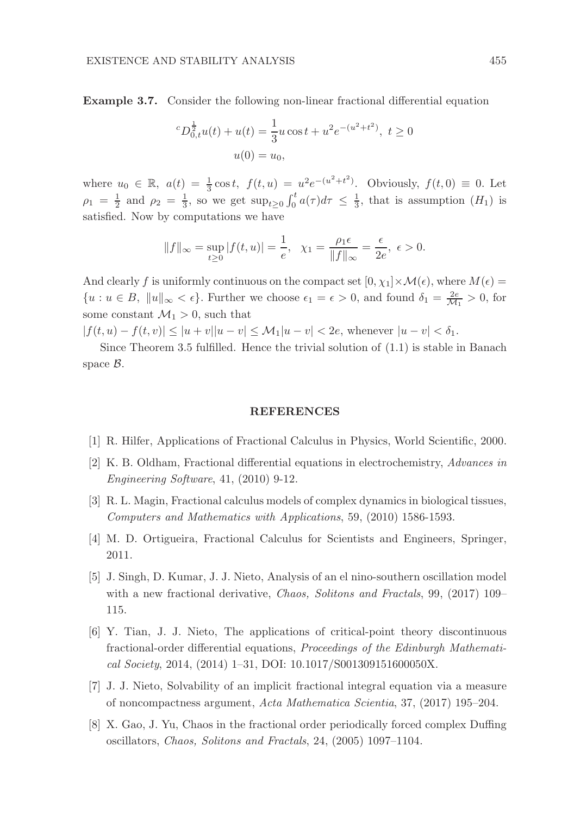Example 3.7. Consider the following non-linear fractional differential equation

$$
{}^{c}D^{\frac{1}{2}}_{0,t}u(t) + u(t) = \frac{1}{3}u\cos t + u^{2}e^{-(u^{2}+t^{2})}, t \ge 0
$$
  
 
$$
u(0) = u_{0},
$$

where  $u_0 \in \mathbb{R}$ ,  $a(t) = \frac{1}{3} \cos t$ ,  $f(t, u) = u^2 e^{-(u^2 + t^2)}$ . Obviously,  $f(t, 0) \equiv 0$ . Let  $\rho_1 = \frac{1}{2}$  and  $\rho_2 = \frac{1}{3}$ , so we get  $\sup_{t\geq 0} \int_0^t a(\tau) d\tau \leq \frac{1}{3}$ , that is assumption  $(H_1)$  is satisfied. Now by computations we have

$$
||f||_{\infty} = \sup_{t \ge 0} |f(t, u)| = \frac{1}{e}, \quad \chi_1 = \frac{\rho_1 \epsilon}{||f||_{\infty}} = \frac{\epsilon}{2e}, \quad \epsilon > 0.
$$

And clearly f is uniformly continuous on the compact set  $[0, \chi_1] \times \mathcal{M}(\epsilon)$ , where  $M(\epsilon)$  ${u : u \in B, \|u\|_{\infty} < \epsilon}.$  Further we choose  $\epsilon_1 = \epsilon > 0$ , and found  $\delta_1 = \frac{2e}{\mathcal{M}_1} > 0$ , for some constant  $\mathcal{M}_1 > 0$ , such that

 $|f(t, u) - f(t, v)| \leq |u + v||u - v| \leq M_1|u - v| < 2e$ , whenever  $|u - v| < \delta_1$ .

Since Theorem 3.5 fulfilled. Hence the trivial solution of  $(1.1)$  is stable in Banach space B.

### REFERENCES

- [1] R. Hilfer, Applications of Fractional Calculus in Physics, World Scientific, 2000.
- [2] K. B. Oldham, Fractional differential equations in electrochemistry, Advances in Engineering Software, 41, (2010) 9-12.
- [3] R. L. Magin, Fractional calculus models of complex dynamics in biological tissues, Computers and Mathematics with Applications, 59, (2010) 1586-1593.
- [4] M. D. Ortigueira, Fractional Calculus for Scientists and Engineers, Springer, 2011.
- [5] J. Singh, D. Kumar, J. J. Nieto, Analysis of an el nino-southern oscillation model with a new fractional derivative, *Chaos, Solitons and Fractals*, 99, (2017) 109– 115.
- [6] Y. Tian, J. J. Nieto, The applications of critical-point theory discontinuous fractional-order differential equations, Proceedings of the Edinburgh Mathematical Society, 2014, (2014) 1–31, DOI: 10.1017/S001309151600050X.
- [7] J. J. Nieto, Solvability of an implicit fractional integral equation via a measure of noncompactness argument, Acta Mathematica Scientia, 37, (2017) 195–204.
- [8] X. Gao, J. Yu, Chaos in the fractional order periodically forced complex Duffing oscillators, Chaos, Solitons and Fractals, 24, (2005) 1097–1104.